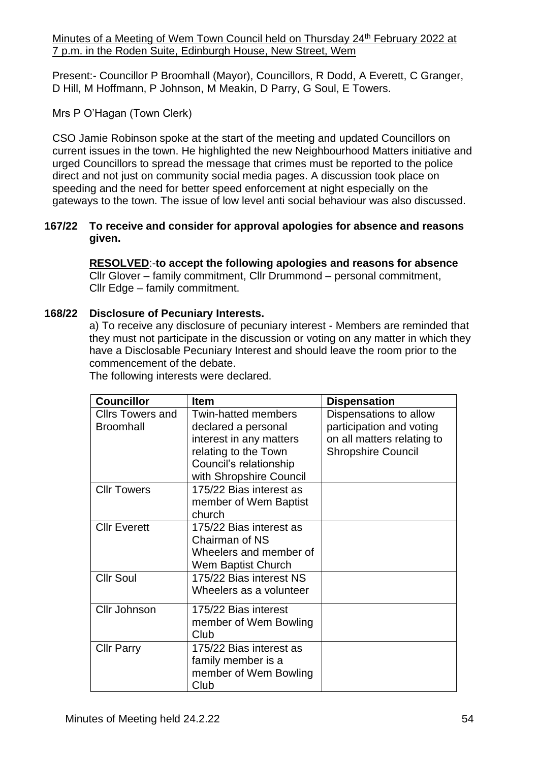Present:- Councillor P Broomhall (Mayor), Councillors, R Dodd, A Everett, C Granger, D Hill, M Hoffmann, P Johnson, M Meakin, D Parry, G Soul, E Towers.

# Mrs P O'Hagan (Town Clerk)

CSO Jamie Robinson spoke at the start of the meeting and updated Councillors on current issues in the town. He highlighted the new Neighbourhood Matters initiative and urged Councillors to spread the message that crimes must be reported to the police direct and not just on community social media pages. A discussion took place on speeding and the need for better speed enforcement at night especially on the gateways to the town. The issue of low level anti social behaviour was also discussed.

## **167/22 To receive and consider for approval apologies for absence and reasons given.**

**RESOLVED**:-**to accept the following apologies and reasons for absence** Cllr Glover – family commitment, Cllr Drummond – personal commitment, Cllr Edge – family commitment.

# **168/22 Disclosure of Pecuniary Interests.**

a) To receive any disclosure of pecuniary interest - Members are reminded that they must not participate in the discussion or voting on any matter in which they have a Disclosable Pecuniary Interest and should leave the room prior to the commencement of the debate.

| <b>Councillor</b>       | Item                       | <b>Dispensation</b>        |
|-------------------------|----------------------------|----------------------------|
| <b>Cllrs Towers and</b> | <b>Twin-hatted members</b> | Dispensations to allow     |
| <b>Broomhall</b>        | declared a personal        | participation and voting   |
|                         | interest in any matters    | on all matters relating to |
|                         | relating to the Town       | <b>Shropshire Council</b>  |
|                         | Council's relationship     |                            |
|                         | with Shropshire Council    |                            |
| <b>Cllr Towers</b>      | 175/22 Bias interest as    |                            |
|                         | member of Wem Baptist      |                            |
|                         | church                     |                            |
| <b>Cllr Everett</b>     | 175/22 Bias interest as    |                            |
|                         | Chairman of NS             |                            |
|                         | Wheelers and member of     |                            |
|                         | Wem Baptist Church         |                            |
| <b>Cllr Soul</b>        | 175/22 Bias interest NS    |                            |
|                         | Wheelers as a volunteer    |                            |
| Cllr Johnson            | 175/22 Bias interest       |                            |
|                         | member of Wem Bowling      |                            |
|                         | Club                       |                            |
| <b>Cllr Parry</b>       | 175/22 Bias interest as    |                            |
|                         | family member is a         |                            |
|                         | member of Wem Bowling      |                            |
|                         | Club                       |                            |

The following interests were declared.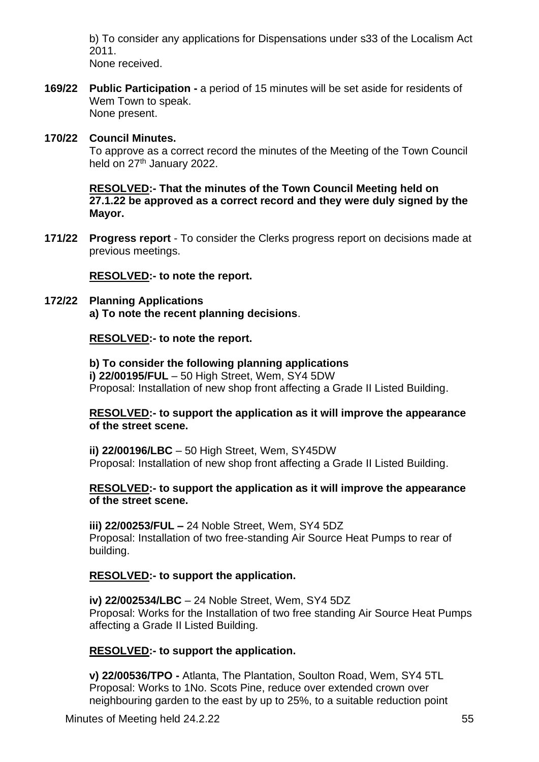b) To consider any applications for Dispensations under s33 of the Localism Act 2011.

None received.

**169/22 Public Participation -** a period of 15 minutes will be set aside for residents of Wem Town to speak. None present.

## **170/22 Council Minutes.**

To approve as a correct record the minutes of the Meeting of the Town Council held on 27<sup>th</sup> January 2022.

**RESOLVED:- That the minutes of the Town Council Meeting held on 27.1.22 be approved as a correct record and they were duly signed by the Mayor.**

**171/22 Progress report** - To consider the Clerks progress report on decisions made at previous meetings.

**RESOLVED:- to note the report.**

#### **172/22 Planning Applications a) To note the recent planning decisions**.

## **RESOLVED:- to note the report.**

**b) To consider the following planning applications i) 22/00195/FUL** – 50 High Street, Wem, SY4 5DW Proposal: Installation of new shop front affecting a Grade II Listed Building.

### **RESOLVED:- to support the application as it will improve the appearance of the street scene.**

**ii) 22/00196/LBC** – 50 High Street, Wem, SY45DW Proposal: Installation of new shop front affecting a Grade II Listed Building.

### **RESOLVED:- to support the application as it will improve the appearance of the street scene.**

**iii) 22/00253/FUL –** 24 Noble Street, Wem, SY4 5DZ Proposal: Installation of two free-standing Air Source Heat Pumps to rear of building.

### **RESOLVED:- to support the application.**

**iv) 22/002534/LBC** – 24 Noble Street, Wem, SY4 5DZ Proposal: Works for the Installation of two free standing Air Source Heat Pumps affecting a Grade II Listed Building.

### **RESOLVED:- to support the application.**

**v) 22/00536/TPO -** Atlanta, The Plantation, Soulton Road, Wem, SY4 5TL Proposal: Works to 1No. Scots Pine, reduce over extended crown over neighbouring garden to the east by up to 25%, to a suitable reduction point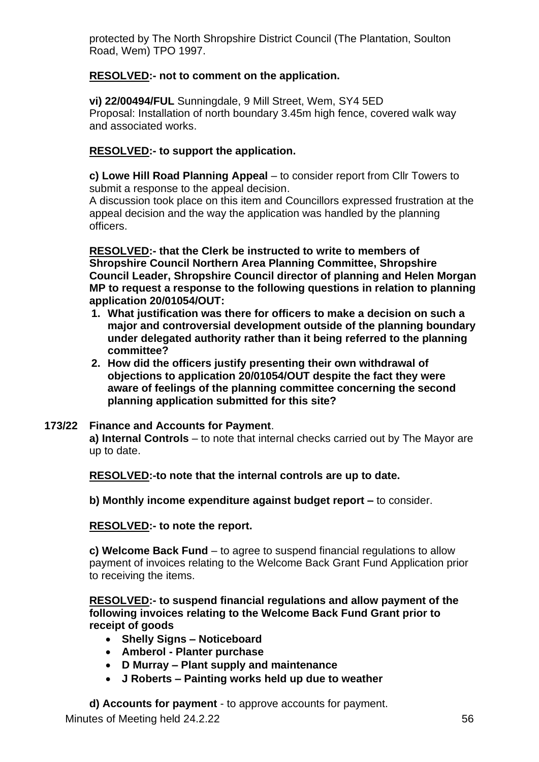protected by The North Shropshire District Council (The Plantation, Soulton Road, Wem) TPO 1997.

# **RESOLVED:- not to comment on the application.**

**vi) 22/00494/FUL** Sunningdale, 9 Mill Street, Wem, SY4 5ED Proposal: Installation of north boundary 3.45m high fence, covered walk way and associated works.

# **RESOLVED:- to support the application.**

**c) Lowe Hill Road Planning Appeal** – to consider report from Cllr Towers to submit a response to the appeal decision.

A discussion took place on this item and Councillors expressed frustration at the appeal decision and the way the application was handled by the planning officers.

**RESOLVED:- that the Clerk be instructed to write to members of Shropshire Council Northern Area Planning Committee, Shropshire Council Leader, Shropshire Council director of planning and Helen Morgan MP to request a response to the following questions in relation to planning application 20/01054/OUT:**

- **1. What justification was there for officers to make a decision on such a major and controversial development outside of the planning boundary under delegated authority rather than it being referred to the planning committee?**
- **2. How did the officers justify presenting their own withdrawal of objections to application 20/01054/OUT despite the fact they were aware of feelings of the planning committee concerning the second planning application submitted for this site?**

# **173/22 Finance and Accounts for Payment**.

**a) Internal Controls** – to note that internal checks carried out by The Mayor are up to date.

**RESOLVED:-to note that the internal controls are up to date.**

**b) Monthly income expenditure against budget report –** to consider.

**RESOLVED:- to note the report.**

**c) Welcome Back Fund** – to agree to suspend financial regulations to allow payment of invoices relating to the Welcome Back Grant Fund Application prior to receiving the items.

**RESOLVED:- to suspend financial regulations and allow payment of the following invoices relating to the Welcome Back Fund Grant prior to receipt of goods** 

- **Shelly Signs – Noticeboard**
- **Amberol - Planter purchase**
- **D Murray – Plant supply and maintenance**
- **J Roberts – Painting works held up due to weather**

**d) Accounts for payment** - to approve accounts for payment.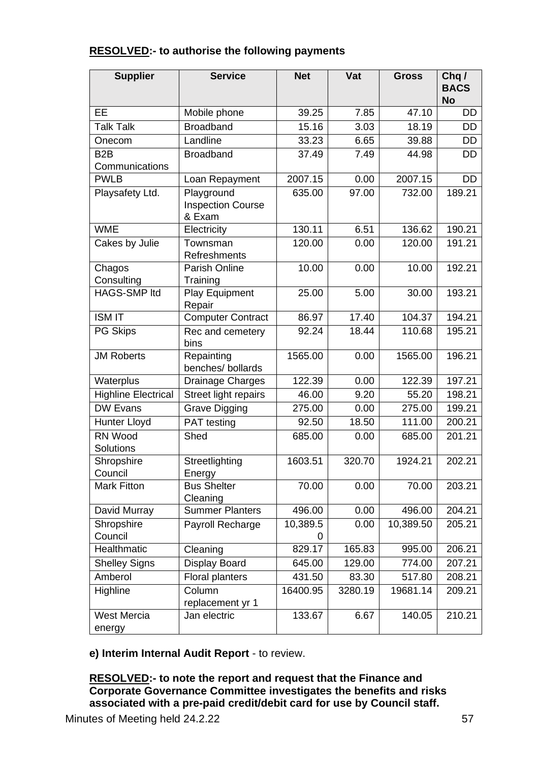| <b>RESOLVED:- to authorise the following payments</b> |  |  |  |
|-------------------------------------------------------|--|--|--|
|-------------------------------------------------------|--|--|--|

| <b>Supplier</b>            | <b>Service</b>                                   | <b>Net</b> | Vat     | <b>Gross</b> | Chq/<br><b>BACS</b><br><b>No</b> |
|----------------------------|--------------------------------------------------|------------|---------|--------------|----------------------------------|
| <b>EE</b>                  | Mobile phone                                     | 39.25      | 7.85    | 47.10        | DD                               |
| <b>Talk Talk</b>           | <b>Broadband</b>                                 | 15.16      | 3.03    | 18.19        | <b>DD</b>                        |
| Onecom                     | Landline                                         | 33.23      | 6.65    | 39.88        | <b>DD</b>                        |
| B <sub>2</sub> B           | <b>Broadband</b>                                 | 37.49      | 7.49    | 44.98        | DD                               |
| Communications             |                                                  |            |         |              |                                  |
| <b>PWLB</b>                | Loan Repayment                                   | 2007.15    | 0.00    | 2007.15      | <b>DD</b>                        |
| Playsafety Ltd.            | Playground<br><b>Inspection Course</b><br>& Exam | 635.00     | 97.00   | 732.00       | 189.21                           |
| <b>WME</b>                 | Electricity                                      | 130.11     | 6.51    | 136.62       | 190.21                           |
| Cakes by Julie             | Townsman<br>Refreshments                         | 120.00     | 0.00    | 120.00       | 191.21                           |
| Chagos<br>Consulting       | Parish Online<br>Training                        | 10.00      | 0.00    | 10.00        | 192.21                           |
| <b>HAGS-SMP ltd</b>        | Play Equipment<br>Repair                         | 25.00      | 5.00    | 30.00        | 193.21                           |
| <b>ISM IT</b>              | <b>Computer Contract</b>                         | 86.97      | 17.40   | 104.37       | 194.21                           |
| <b>PG Skips</b>            | Rec and cemetery<br>bins                         | 92.24      | 18.44   | 110.68       | 195.21                           |
| <b>JM Roberts</b>          | Repainting<br>benches/ bollards                  | 1565.00    | 0.00    | 1565.00      | 196.21                           |
| Waterplus                  | Drainage Charges                                 | 122.39     | 0.00    | 122.39       | 197.21                           |
| <b>Highline Electrical</b> | Street light repairs                             | 46.00      | 9.20    | 55.20        | 198.21                           |
| <b>DW Evans</b>            | <b>Grave Digging</b>                             | 275.00     | 0.00    | 275.00       | 199.21                           |
| <b>Hunter Lloyd</b>        | PAT testing                                      | 92.50      | 18.50   | 111.00       | 200.21                           |
| RN Wood<br>Solutions       | Shed                                             | 685.00     | 0.00    | 685.00       | 201.21                           |
| Shropshire<br>Council      | Streetlighting<br>Energy                         | 1603.51    | 320.70  | 1924.21      | 202.21                           |
| <b>Mark Fitton</b>         | <b>Bus Shelter</b><br>Cleaning                   | 70.00      | 0.00    | 70.00        | 203.21                           |
| David Murray               | <b>Summer Planters</b>                           | 496.00     | 0.00    | 496.00       | 204.21                           |
| Shropshire<br>Council      | Payroll Recharge                                 | 10,389.5   | 0.00    | 10,389.50    | 205.21                           |
| Healthmatic                | Cleaning                                         | 829.17     | 165.83  | 995.00       | 206.21                           |
| <b>Shelley Signs</b>       | <b>Display Board</b>                             | 645.00     | 129.00  | 774.00       | 207.21                           |
| Amberol                    | <b>Floral planters</b>                           | 431.50     | 83.30   | 517.80       | 208.21                           |
| Highline                   | Column<br>replacement yr 1                       | 16400.95   | 3280.19 | 19681.14     | 209.21                           |
| West Mercia<br>energy      | Jan electric                                     | 133.67     | 6.67    | 140.05       | 210.21                           |

**e) Interim Internal Audit Report** - to review.

**RESOLVED:- to note the report and request that the Finance and Corporate Governance Committee investigates the benefits and risks associated with a pre-paid credit/debit card for use by Council staff.**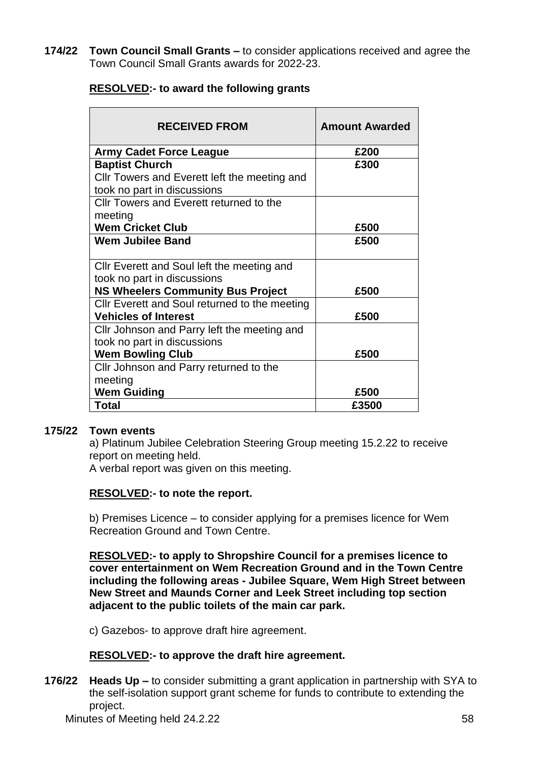**174/22 Town Council Small Grants –** to consider applications received and agree the Town Council Small Grants awards for 2022-23.

| <b>RESOLVED:- to award the following grants</b> |  |
|-------------------------------------------------|--|
|-------------------------------------------------|--|

| <b>RECEIVED FROM</b>                                                      | <b>Amount Awarded</b> |
|---------------------------------------------------------------------------|-----------------------|
| <b>Army Cadet Force League</b>                                            | £200                  |
| <b>Baptist Church</b>                                                     | £300                  |
| CIIr Towers and Everett left the meeting and                              |                       |
| took no part in discussions                                               |                       |
| Cllr Towers and Everett returned to the                                   |                       |
| meeting                                                                   |                       |
| <b>Wem Cricket Club</b>                                                   | £500                  |
| <b>Wem Jubilee Band</b>                                                   | £500                  |
| CIIr Everett and Soul left the meeting and<br>took no part in discussions |                       |
| <b>NS Wheelers Community Bus Project</b>                                  | £500                  |
| Cllr Everett and Soul returned to the meeting                             |                       |
| <b>Vehicles of Interest</b>                                               | £500                  |
| Cllr Johnson and Parry left the meeting and                               |                       |
| took no part in discussions                                               |                       |
| <b>Wem Bowling Club</b>                                                   | £500                  |
| Cllr Johnson and Parry returned to the                                    |                       |
| meeting                                                                   |                       |
| <b>Wem Guiding</b>                                                        | £500                  |
| <b>Total</b>                                                              | £3500                 |

### **175/22 Town events**

a) Platinum Jubilee Celebration Steering Group meeting 15.2.22 to receive report on meeting held.

A verbal report was given on this meeting.

#### **RESOLVED:- to note the report.**

b) Premises Licence – to consider applying for a premises licence for Wem Recreation Ground and Town Centre.

**RESOLVED:- to apply to Shropshire Council for a premises licence to cover entertainment on Wem Recreation Ground and in the Town Centre including the following areas - Jubilee Square, Wem High Street between New Street and Maunds Corner and Leek Street including top section adjacent to the public toilets of the main car park.**

c) Gazebos- to approve draft hire agreement.

### **RESOLVED:- to approve the draft hire agreement.**

**176/22 Heads Up –** to consider submitting a grant application in partnership with SYA to the self-isolation support grant scheme for funds to contribute to extending the project.

Minutes of Meeting held 24.2.22 58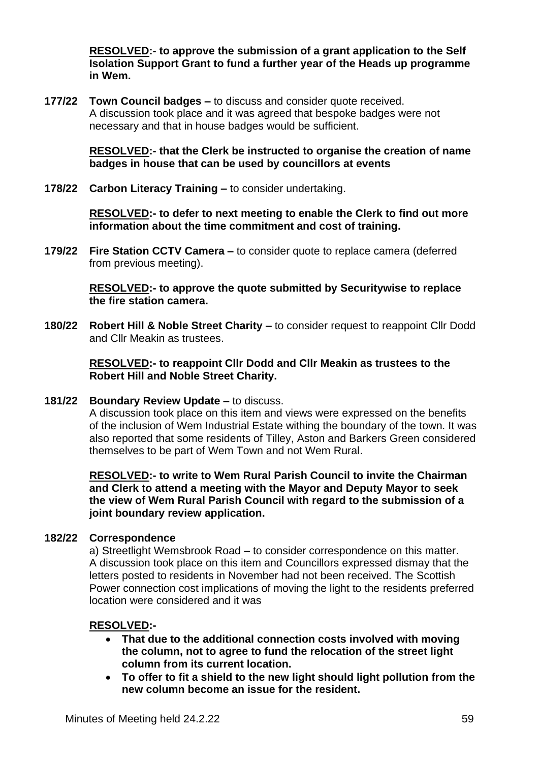**RESOLVED:- to approve the submission of a grant application to the Self Isolation Support Grant to fund a further year of the Heads up programme in Wem.**

**177/22 Town Council badges –** to discuss and consider quote received. A discussion took place and it was agreed that bespoke badges were not necessary and that in house badges would be sufficient.

> **RESOLVED:- that the Clerk be instructed to organise the creation of name badges in house that can be used by councillors at events**

**178/22 Carbon Literacy Training –** to consider undertaking.

**RESOLVED:- to defer to next meeting to enable the Clerk to find out more information about the time commitment and cost of training.**

**179/22 Fire Station CCTV Camera –** to consider quote to replace camera (deferred from previous meeting).

> **RESOLVED:- to approve the quote submitted by Securitywise to replace the fire station camera.**

**180/22 Robert Hill & Noble Street Charity –** to consider request to reappoint Cllr Dodd and Cllr Meakin as trustees.

> **RESOLVED:- to reappoint Cllr Dodd and Cllr Meakin as trustees to the Robert Hill and Noble Street Charity.**

**181/22 Boundary Review Update –** to discuss.

A discussion took place on this item and views were expressed on the benefits of the inclusion of Wem Industrial Estate withing the boundary of the town. It was also reported that some residents of Tilley, Aston and Barkers Green considered themselves to be part of Wem Town and not Wem Rural.

**RESOLVED:- to write to Wem Rural Parish Council to invite the Chairman and Clerk to attend a meeting with the Mayor and Deputy Mayor to seek the view of Wem Rural Parish Council with regard to the submission of a joint boundary review application.**

### **182/22 Correspondence**

a) Streetlight Wemsbrook Road – to consider correspondence on this matter. A discussion took place on this item and Councillors expressed dismay that the letters posted to residents in November had not been received. The Scottish Power connection cost implications of moving the light to the residents preferred location were considered and it was

### **RESOLVED:-**

- **That due to the additional connection costs involved with moving the column, not to agree to fund the relocation of the street light column from its current location.**
- **To offer to fit a shield to the new light should light pollution from the new column become an issue for the resident.**